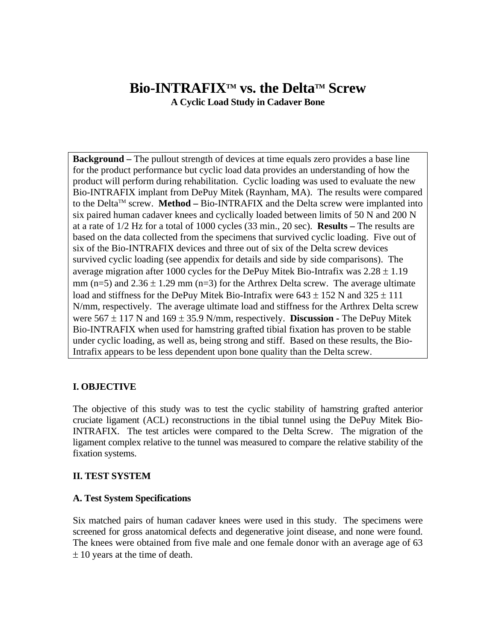# **Bio-INTRAFIX™ vs. the Delta™ Screw A Cyclic Load Study in Cadaver Bone**

**Background –** The pullout strength of devices at time equals zero provides a base line for the product performance but cyclic load data provides an understanding of how the product will perform during rehabilitation. Cyclic loading was used to evaluate the new Bio-INTRAFIX implant from DePuy Mitek (Raynham, MA). The results were compared to the DeltaTM screw. **Method –** Bio-INTRAFIX and the Delta screw were implanted into six paired human cadaver knees and cyclically loaded between limits of 50 N and 200 N at a rate of 1/2 Hz for a total of 1000 cycles (33 min., 20 sec). **Results –** The results are based on the data collected from the specimens that survived cyclic loading. Five out of six of the Bio-INTRAFIX devices and three out of six of the Delta screw devices survived cyclic loading (see appendix for details and side by side comparisons). The average migration after 1000 cycles for the DePuy Mitek Bio-Intrafix was  $2.28 \pm 1.19$ mm (n=5) and  $2.36 \pm 1.29$  mm (n=3) for the Arthrex Delta screw. The average ultimate load and stiffness for the DePuy Mitek Bio-Intrafix were  $643 \pm 152$  N and  $325 \pm 111$ N/mm, respectively. The average ultimate load and stiffness for the Arthrex Delta screw were 567 ± 117 N and 169 ± 35.9 N/mm, respectively. **Discussion -** The DePuy Mitek Bio-INTRAFIX when used for hamstring grafted tibial fixation has proven to be stable under cyclic loading, as well as, being strong and stiff. Based on these results, the Bio-Intrafix appears to be less dependent upon bone quality than the Delta screw.

# **I. OBJECTIVE**

The objective of this study was to test the cyclic stability of hamstring grafted anterior cruciate ligament (ACL) reconstructions in the tibial tunnel using the DePuy Mitek Bio-INTRAFIX. The test articles were compared to the Delta Screw. The migration of the ligament complex relative to the tunnel was measured to compare the relative stability of the fixation systems.

### **II. TEST SYSTEM**

### **A. Test System Specifications**

Six matched pairs of human cadaver knees were used in this study. The specimens were screened for gross anatomical defects and degenerative joint disease, and none were found. The knees were obtained from five male and one female donor with an average age of 63 ± 10 years at the time of death.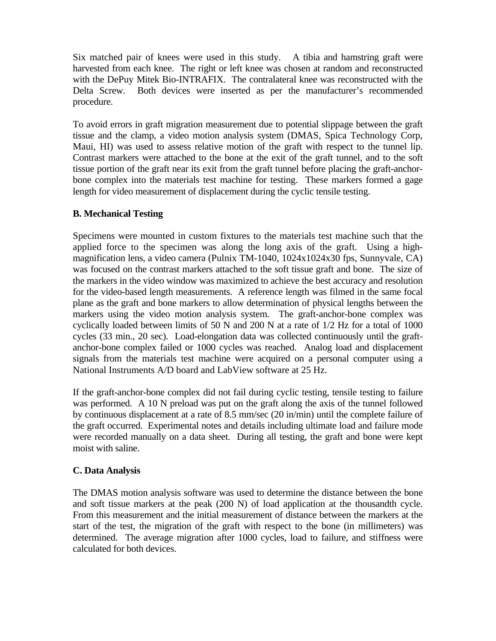Six matched pair of knees were used in this study. A tibia and hamstring graft were harvested from each knee. The right or left knee was chosen at random and reconstructed with the DePuy Mitek Bio-INTRAFIX. The contralateral knee was reconstructed with the Delta Screw. Both devices were inserted as per the manufacturer's recommended procedure.

To avoid errors in graft migration measurement due to potential slippage between the graft tissue and the clamp, a video motion analysis system (DMAS, Spica Technology Corp, Maui, HI) was used to assess relative motion of the graft with respect to the tunnel lip. Contrast markers were attached to the bone at the exit of the graft tunnel, and to the soft tissue portion of the graft near its exit from the graft tunnel before placing the graft-anchorbone complex into the materials test machine for testing. These markers formed a gage length for video measurement of displacement during the cyclic tensile testing.

# **B. Mechanical Testing**

Specimens were mounted in custom fixtures to the materials test machine such that the applied force to the specimen was along the long axis of the graft. Using a highmagnification lens, a video camera (Pulnix TM-1040, 1024x1024x30 fps, Sunnyvale, CA) was focused on the contrast markers attached to the soft tissue graft and bone. The size of the markers in the video window was maximized to achieve the best accuracy and resolution for the video-based length measurements. A reference length was filmed in the same focal plane as the graft and bone markers to allow determination of physical lengths between the markers using the video motion analysis system. The graft-anchor-bone complex was cyclically loaded between limits of 50 N and 200 N at a rate of 1/2 Hz for a total of 1000 cycles (33 min., 20 sec). Load-elongation data was collected continuously until the graftanchor-bone complex failed or 1000 cycles was reached. Analog load and displacement signals from the materials test machine were acquired on a personal computer using a National Instruments A/D board and LabView software at 25 Hz.

If the graft-anchor-bone complex did not fail during cyclic testing, tensile testing to failure was performed. A 10 N preload was put on the graft along the axis of the tunnel followed by continuous displacement at a rate of 8.5 mm/sec (20 in/min) until the complete failure of the graft occurred. Experimental notes and details including ultimate load and failure mode were recorded manually on a data sheet. During all testing, the graft and bone were kept moist with saline.

# **C. Data Analysis**

The DMAS motion analysis software was used to determine the distance between the bone and soft tissue markers at the peak (200 N) of load application at the thousandth cycle. From this measurement and the initial measurement of distance between the markers at the start of the test, the migration of the graft with respect to the bone (in millimeters) was determined. The average migration after 1000 cycles, load to failure, and stiffness were calculated for both devices.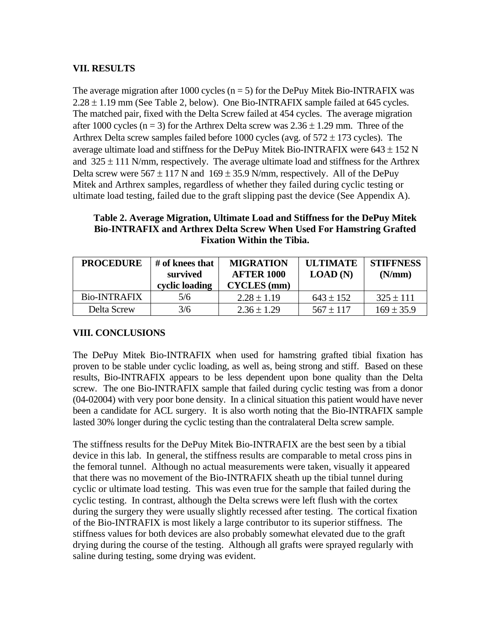# **VII. RESULTS**

The average migration after 1000 cycles  $(n = 5)$  for the DePuy Mitek Bio-INTRAFIX was  $2.28 \pm 1.19$  mm (See Table 2, below). One Bio-INTRAFIX sample failed at 645 cycles. The matched pair, fixed with the Delta Screw failed at 454 cycles. The average migration after 1000 cycles ( $n = 3$ ) for the Arthrex Delta screw was  $2.36 \pm 1.29$  mm. Three of the Arthrex Delta screw samples failed before 1000 cycles (avg. of  $572 \pm 173$  cycles). The average ultimate load and stiffness for the DePuy Mitek Bio-INTRAFIX were  $643 \pm 152$  N and  $325 \pm 111$  N/mm, respectively. The average ultimate load and stiffness for the Arthrex Delta screw were  $567 \pm 117$  N and  $169 \pm 35.9$  N/mm, respectively. All of the DePuy Mitek and Arthrex samples, regardless of whether they failed during cyclic testing or ultimate load testing, failed due to the graft slipping past the device (See Appendix A).

# **Table 2. Average Migration, Ultimate Load and Stiffness for the DePuy Mitek Bio-INTRAFIX and Arthrex Delta Screw When Used For Hamstring Grafted Fixation Within the Tibia.**

| <b>PROCEDURE</b>    | # of knees that<br>survived<br>cyclic loading | <b>MIGRATION</b><br><b>AFTER 1000</b><br><b>CYCLES</b> (mm) | <b>IILTIMATE</b><br>LOAD(N) | <b>STIFFNESS</b><br>(N/mm) |
|---------------------|-----------------------------------------------|-------------------------------------------------------------|-----------------------------|----------------------------|
| <b>Bio-INTRAFIX</b> | 5/6                                           | $2.28 \pm 1.19$                                             | $643 \pm 152$               | $325 \pm 111$              |
| Delta Screw         | 3/6                                           | $2.36 \pm 1.29$                                             | $567 \pm 117$               | $169 \pm 35.9$             |

# **VIII. CONCLUSIONS**

The DePuy Mitek Bio-INTRAFIX when used for hamstring grafted tibial fixation has proven to be stable under cyclic loading, as well as, being strong and stiff. Based on these results, Bio-INTRAFIX appears to be less dependent upon bone quality than the Delta screw. The one Bio-INTRAFIX sample that failed during cyclic testing was from a donor (04-02004) with very poor bone density. In a clinical situation this patient would have never been a candidate for ACL surgery. It is also worth noting that the Bio-INTRAFIX sample lasted 30% longer during the cyclic testing than the contralateral Delta screw sample.

The stiffness results for the DePuy Mitek Bio-INTRAFIX are the best seen by a tibial device in this lab. In general, the stiffness results are comparable to metal cross pins in the femoral tunnel. Although no actual measurements were taken, visually it appeared that there was no movement of the Bio-INTRAFIX sheath up the tibial tunnel during cyclic or ultimate load testing. This was even true for the sample that failed during the cyclic testing. In contrast, although the Delta screws were left flush with the cortex during the surgery they were usually slightly recessed after testing. The cortical fixation of the Bio-INTRAFIX is most likely a large contributor to its superior stiffness. The stiffness values for both devices are also probably somewhat elevated due to the graft drying during the course of the testing. Although all grafts were sprayed regularly with saline during testing, some drying was evident.